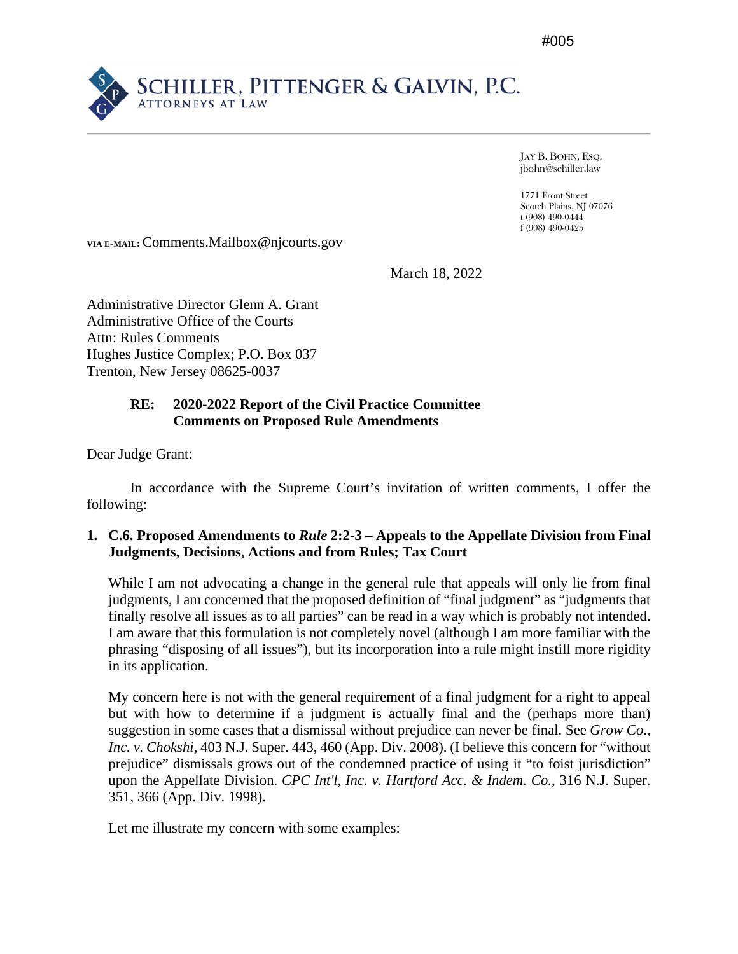#005



JAY B. BOHN, ESQ. jbohn@schiller.law

1771 Front Street Scotch Plains, NJ 07076 t (908) 490-0444 f (908) 490-0425

**VIA E-MAIL:**Comments.Mailbox@njcourts.gov

March 18, 2022

Administrative Director Glenn A. Grant Administrative Office of the Courts Attn: Rules Comments Hughes Justice Complex; P.O. Box 037 Trenton, New Jersey 08625-0037

# **RE: 2020-2022 Report of the Civil Practice Committee Comments on Proposed Rule Amendments**

Dear Judge Grant:

In accordance with the Supreme Court's invitation of written comments, I offer the following:

### **1. C.6. Proposed Amendments to** *Rule* **2:2-3 – Appeals to the Appellate Division from Final Judgments, Decisions, Actions and from Rules; Tax Court**

While I am not advocating a change in the general rule that appeals will only lie from final judgments, I am concerned that the proposed definition of "final judgment" as "judgments that finally resolve all issues as to all parties" can be read in a way which is probably not intended. I am aware that this formulation is not completely novel (although I am more familiar with the phrasing "disposing of all issues"), but its incorporation into a rule might instill more rigidity in its application.

My concern here is not with the general requirement of a final judgment for a right to appeal but with how to determine if a judgment is actually final and the (perhaps more than) suggestion in some cases that a dismissal without prejudice can never be final. See *Grow Co., Inc. v. Chokshi*, 403 N.J. Super. 443, 460 (App. Div. 2008). (I believe this concern for "without prejudice" dismissals grows out of the condemned practice of using it "to foist jurisdiction" upon the Appellate Division. *CPC Int'l, Inc. v. Hartford Acc. & Indem. Co.*, 316 N.J. Super. 351, 366 (App. Div. 1998).

Let me illustrate my concern with some examples: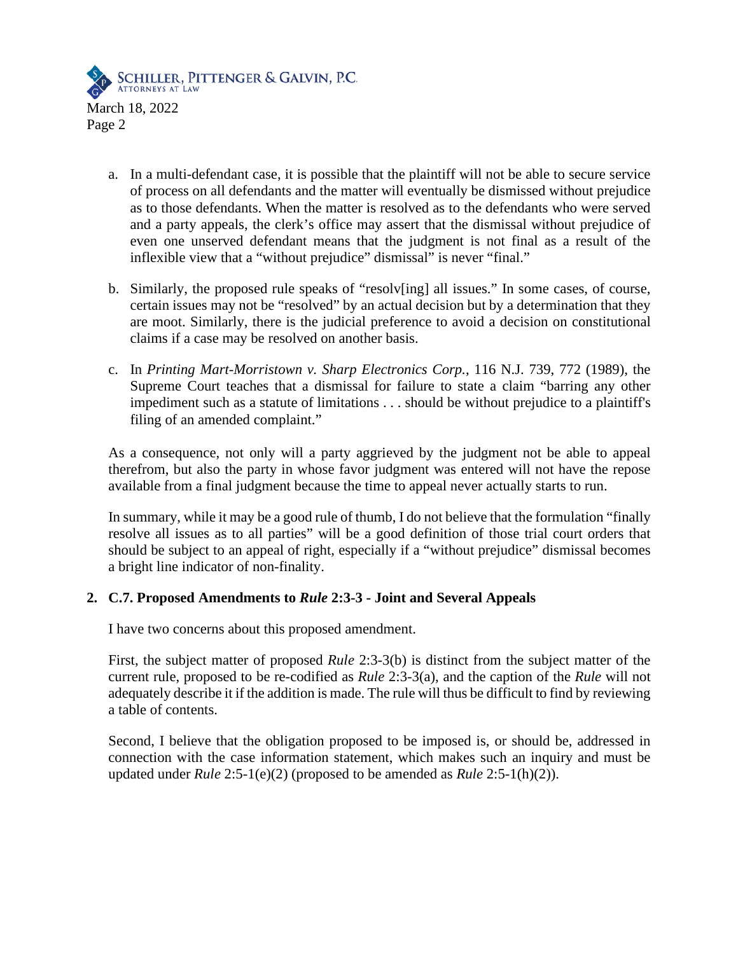

- a. In a multi-defendant case, it is possible that the plaintiff will not be able to secure service of process on all defendants and the matter will eventually be dismissed without prejudice as to those defendants. When the matter is resolved as to the defendants who were served and a party appeals, the clerk's office may assert that the dismissal without prejudice of even one unserved defendant means that the judgment is not final as a result of the inflexible view that a "without prejudice" dismissal" is never "final."
- b. Similarly, the proposed rule speaks of "resolv[ing] all issues." In some cases, of course, certain issues may not be "resolved" by an actual decision but by a determination that they are moot. Similarly, there is the judicial preference to avoid a decision on constitutional claims if a case may be resolved on another basis.
- c. In *Printing Mart-Morristown v. Sharp Electronics Corp.*, 116 N.J. 739, 772 (1989), the Supreme Court teaches that a dismissal for failure to state a claim "barring any other impediment such as a statute of limitations . . . should be without prejudice to a plaintiff's filing of an amended complaint."

As a consequence, not only will a party aggrieved by the judgment not be able to appeal therefrom, but also the party in whose favor judgment was entered will not have the repose available from a final judgment because the time to appeal never actually starts to run.

In summary, while it may be a good rule of thumb, I do not believe that the formulation "finally resolve all issues as to all parties" will be a good definition of those trial court orders that should be subject to an appeal of right, especially if a "without prejudice" dismissal becomes a bright line indicator of non-finality.

### **2. C.7. Proposed Amendments to** *Rule* **2:3-3 - Joint and Several Appeals**

I have two concerns about this proposed amendment.

First, the subject matter of proposed *Rule* 2:3-3(b) is distinct from the subject matter of the current rule, proposed to be re-codified as *Rule* 2:3-3(a), and the caption of the *Rule* will not adequately describe it if the addition is made. The rule will thus be difficult to find by reviewing a table of contents.

Second, I believe that the obligation proposed to be imposed is, or should be, addressed in connection with the case information statement, which makes such an inquiry and must be updated under *Rule* 2:5-1(e)(2) (proposed to be amended as *Rule* 2:5-1(h)(2)).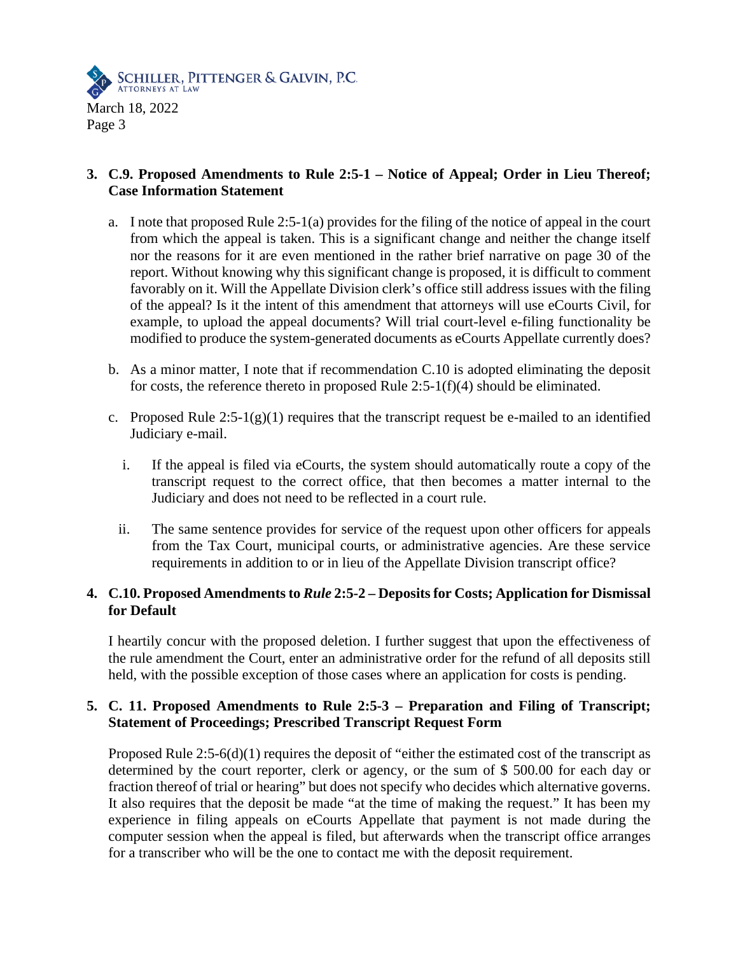

# **3. C.9. Proposed Amendments to Rule 2:5-1 – Notice of Appeal; Order in Lieu Thereof; Case Information Statement**

- a. I note that proposed Rule 2:5-1(a) provides for the filing of the notice of appeal in the court from which the appeal is taken. This is a significant change and neither the change itself nor the reasons for it are even mentioned in the rather brief narrative on page 30 of the report. Without knowing why this significant change is proposed, it is difficult to comment favorably on it. Will the Appellate Division clerk's office still address issues with the filing of the appeal? Is it the intent of this amendment that attorneys will use eCourts Civil, for example, to upload the appeal documents? Will trial court-level e-filing functionality be modified to produce the system-generated documents as eCourts Appellate currently does?
- b. As a minor matter, I note that if recommendation C.10 is adopted eliminating the deposit for costs, the reference thereto in proposed Rule 2:5-1(f)(4) should be eliminated.
- c. Proposed Rule  $2:5-1(g)(1)$  requires that the transcript request be e-mailed to an identified Judiciary e-mail.
	- i. If the appeal is filed via eCourts, the system should automatically route a copy of the transcript request to the correct office, that then becomes a matter internal to the Judiciary and does not need to be reflected in a court rule.
	- ii. The same sentence provides for service of the request upon other officers for appeals from the Tax Court, municipal courts, or administrative agencies. Are these service requirements in addition to or in lieu of the Appellate Division transcript office?

## **4. C.10. Proposed Amendments to** *Rule* **2:5-2 – Deposits for Costs; Application for Dismissal for Default**

I heartily concur with the proposed deletion. I further suggest that upon the effectiveness of the rule amendment the Court, enter an administrative order for the refund of all deposits still held, with the possible exception of those cases where an application for costs is pending.

# **5. C. 11. Proposed Amendments to Rule 2:5-3 – Preparation and Filing of Transcript; Statement of Proceedings; Prescribed Transcript Request Form**

Proposed Rule 2:5-6(d)(1) requires the deposit of "either the estimated cost of the transcript as determined by the court reporter, clerk or agency, or the sum of \$ 500.00 for each day or fraction thereof of trial or hearing" but does not specify who decides which alternative governs. It also requires that the deposit be made "at the time of making the request." It has been my experience in filing appeals on eCourts Appellate that payment is not made during the computer session when the appeal is filed, but afterwards when the transcript office arranges for a transcriber who will be the one to contact me with the deposit requirement.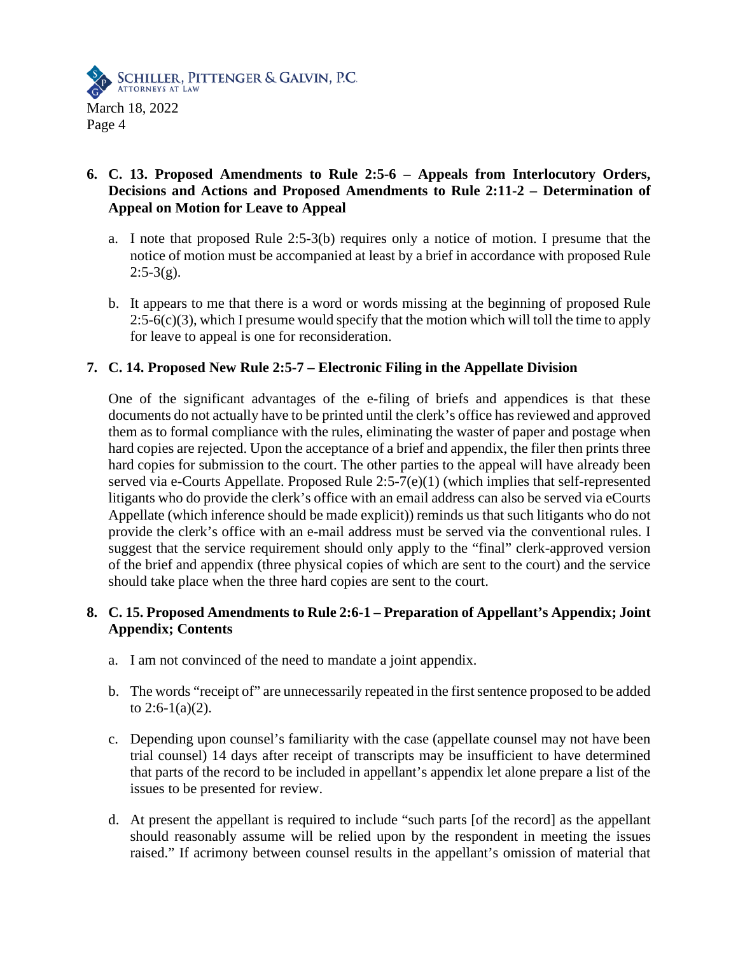

# **6. C. 13. Proposed Amendments to Rule 2:5-6 – Appeals from Interlocutory Orders, Decisions and Actions and Proposed Amendments to Rule 2:11-2 – Determination of Appeal on Motion for Leave to Appeal**

- a. I note that proposed Rule 2:5-3(b) requires only a notice of motion. I presume that the notice of motion must be accompanied at least by a brief in accordance with proposed Rule  $2:5-3(g)$ .
- b. It appears to me that there is a word or words missing at the beginning of proposed Rule  $2:5-6(c)(3)$ , which I presume would specify that the motion which will toll the time to apply for leave to appeal is one for reconsideration.

## **7. C. 14. Proposed New Rule 2:5-7 – Electronic Filing in the Appellate Division**

One of the significant advantages of the e-filing of briefs and appendices is that these documents do not actually have to be printed until the clerk's office has reviewed and approved them as to formal compliance with the rules, eliminating the waster of paper and postage when hard copies are rejected. Upon the acceptance of a brief and appendix, the filer then prints three hard copies for submission to the court. The other parties to the appeal will have already been served via e-Courts Appellate. Proposed Rule 2:5-7(e)(1) (which implies that self-represented litigants who do provide the clerk's office with an email address can also be served via eCourts Appellate (which inference should be made explicit)) reminds us that such litigants who do not provide the clerk's office with an e-mail address must be served via the conventional rules. I suggest that the service requirement should only apply to the "final" clerk-approved version of the brief and appendix (three physical copies of which are sent to the court) and the service should take place when the three hard copies are sent to the court.

# **8. C. 15. Proposed Amendments to Rule 2:6-1 – Preparation of Appellant's Appendix; Joint Appendix; Contents**

- a. I am not convinced of the need to mandate a joint appendix.
- b. The words "receipt of" are unnecessarily repeated in the first sentence proposed to be added to  $2:6-1(a)(2)$ .
- c. Depending upon counsel's familiarity with the case (appellate counsel may not have been trial counsel) 14 days after receipt of transcripts may be insufficient to have determined that parts of the record to be included in appellant's appendix let alone prepare a list of the issues to be presented for review.
- d. At present the appellant is required to include "such parts [of the record] as the appellant should reasonably assume will be relied upon by the respondent in meeting the issues raised." If acrimony between counsel results in the appellant's omission of material that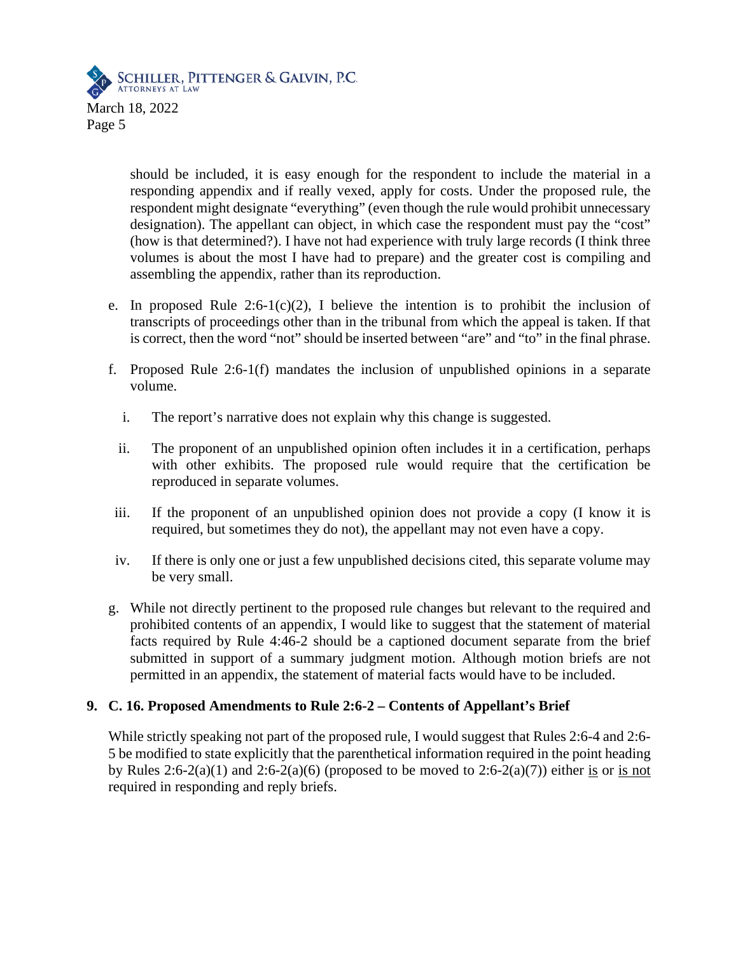

should be included, it is easy enough for the respondent to include the material in a responding appendix and if really vexed, apply for costs. Under the proposed rule, the respondent might designate "everything" (even though the rule would prohibit unnecessary designation). The appellant can object, in which case the respondent must pay the "cost" (how is that determined?). I have not had experience with truly large records (I think three volumes is about the most I have had to prepare) and the greater cost is compiling and assembling the appendix, rather than its reproduction.

- e. In proposed Rule 2:6-1(c)(2), I believe the intention is to prohibit the inclusion of transcripts of proceedings other than in the tribunal from which the appeal is taken. If that is correct, then the word "not" should be inserted between "are" and "to" in the final phrase.
- f. Proposed Rule 2:6-1(f) mandates the inclusion of unpublished opinions in a separate volume.
	- i. The report's narrative does not explain why this change is suggested.
	- ii. The proponent of an unpublished opinion often includes it in a certification, perhaps with other exhibits. The proposed rule would require that the certification be reproduced in separate volumes.
- iii. If the proponent of an unpublished opinion does not provide a copy (I know it is required, but sometimes they do not), the appellant may not even have a copy.
- iv. If there is only one or just a few unpublished decisions cited, this separate volume may be very small.
- g. While not directly pertinent to the proposed rule changes but relevant to the required and prohibited contents of an appendix, I would like to suggest that the statement of material facts required by Rule 4:46-2 should be a captioned document separate from the brief submitted in support of a summary judgment motion. Although motion briefs are not permitted in an appendix, the statement of material facts would have to be included.

### **9. C. 16. Proposed Amendments to Rule 2:6-2 – Contents of Appellant's Brief**

While strictly speaking not part of the proposed rule, I would suggest that Rules 2:6-4 and 2:6- 5 be modified to state explicitly that the parenthetical information required in the point heading by Rules  $2:6-2(a)(1)$  and  $2:6-2(a)(6)$  (proposed to be moved to  $2:6-2(a)(7)$ ) either is or is not required in responding and reply briefs.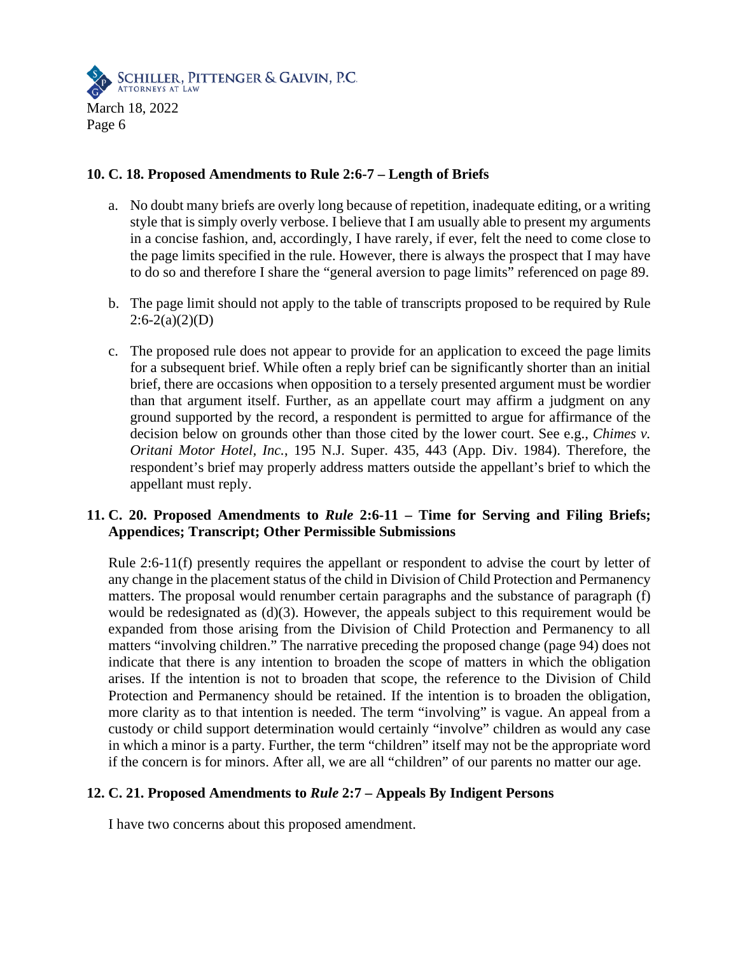

### **10. C. 18. Proposed Amendments to Rule 2:6-7 – Length of Briefs**

- a. No doubt many briefs are overly long because of repetition, inadequate editing, or a writing style that is simply overly verbose. I believe that I am usually able to present my arguments in a concise fashion, and, accordingly, I have rarely, if ever, felt the need to come close to the page limits specified in the rule. However, there is always the prospect that I may have to do so and therefore I share the "general aversion to page limits" referenced on page 89.
- b. The page limit should not apply to the table of transcripts proposed to be required by Rule  $2:6-2(a)(2)(D)$
- c. The proposed rule does not appear to provide for an application to exceed the page limits for a subsequent brief. While often a reply brief can be significantly shorter than an initial brief, there are occasions when opposition to a tersely presented argument must be wordier than that argument itself. Further, as an appellate court may affirm a judgment on any ground supported by the record, a respondent is permitted to argue for affirmance of the decision below on grounds other than those cited by the lower court. See e.g., *Chimes v. Oritani Motor Hotel, Inc.*, 195 N.J. Super. 435, 443 (App. Div. 1984). Therefore, the respondent's brief may properly address matters outside the appellant's brief to which the appellant must reply.

## **11. C. 20. Proposed Amendments to** *Rule* **2:6-11 – Time for Serving and Filing Briefs; Appendices; Transcript; Other Permissible Submissions**

Rule 2:6-11(f) presently requires the appellant or respondent to advise the court by letter of any change in the placement status of the child in Division of Child Protection and Permanency matters. The proposal would renumber certain paragraphs and the substance of paragraph (f) would be redesignated as  $(d)(3)$ . However, the appeals subject to this requirement would be expanded from those arising from the Division of Child Protection and Permanency to all matters "involving children." The narrative preceding the proposed change (page 94) does not indicate that there is any intention to broaden the scope of matters in which the obligation arises. If the intention is not to broaden that scope, the reference to the Division of Child Protection and Permanency should be retained. If the intention is to broaden the obligation, more clarity as to that intention is needed. The term "involving" is vague. An appeal from a custody or child support determination would certainly "involve" children as would any case in which a minor is a party. Further, the term "children" itself may not be the appropriate word if the concern is for minors. After all, we are all "children" of our parents no matter our age.

### **12. C. 21. Proposed Amendments to** *Rule* **2:7 – Appeals By Indigent Persons**

I have two concerns about this proposed amendment.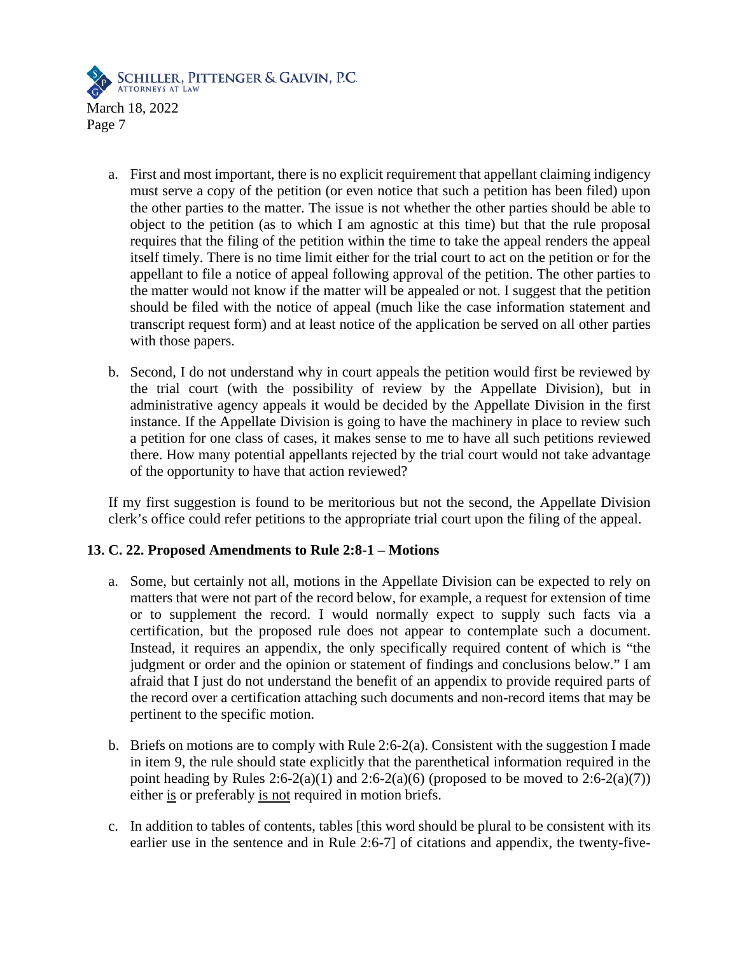

- a. First and most important, there is no explicit requirement that appellant claiming indigency must serve a copy of the petition (or even notice that such a petition has been filed) upon the other parties to the matter. The issue is not whether the other parties should be able to object to the petition (as to which I am agnostic at this time) but that the rule proposal requires that the filing of the petition within the time to take the appeal renders the appeal itself timely. There is no time limit either for the trial court to act on the petition or for the appellant to file a notice of appeal following approval of the petition. The other parties to the matter would not know if the matter will be appealed or not. I suggest that the petition should be filed with the notice of appeal (much like the case information statement and transcript request form) and at least notice of the application be served on all other parties with those papers.
- b. Second, I do not understand why in court appeals the petition would first be reviewed by the trial court (with the possibility of review by the Appellate Division), but in administrative agency appeals it would be decided by the Appellate Division in the first instance. If the Appellate Division is going to have the machinery in place to review such a petition for one class of cases, it makes sense to me to have all such petitions reviewed there. How many potential appellants rejected by the trial court would not take advantage of the opportunity to have that action reviewed?

If my first suggestion is found to be meritorious but not the second, the Appellate Division clerk's office could refer petitions to the appropriate trial court upon the filing of the appeal.

### **13. C. 22. Proposed Amendments to Rule 2:8-1 – Motions**

- a. Some, but certainly not all, motions in the Appellate Division can be expected to rely on matters that were not part of the record below, for example, a request for extension of time or to supplement the record. I would normally expect to supply such facts via a certification, but the proposed rule does not appear to contemplate such a document. Instead, it requires an appendix, the only specifically required content of which is "the judgment or order and the opinion or statement of findings and conclusions below." I am afraid that I just do not understand the benefit of an appendix to provide required parts of the record over a certification attaching such documents and non-record items that may be pertinent to the specific motion.
- b. Briefs on motions are to comply with Rule 2:6-2(a). Consistent with the suggestion I made in item 9, the rule should state explicitly that the parenthetical information required in the point heading by Rules  $2:6-2(a)(1)$  and  $2:6-2(a)(6)$  (proposed to be moved to  $2:6-2(a)(7)$ ) either is or preferably is not required in motion briefs.
- c. In addition to tables of contents, tables [this word should be plural to be consistent with its earlier use in the sentence and in Rule 2:6-7] of citations and appendix, the twenty-five-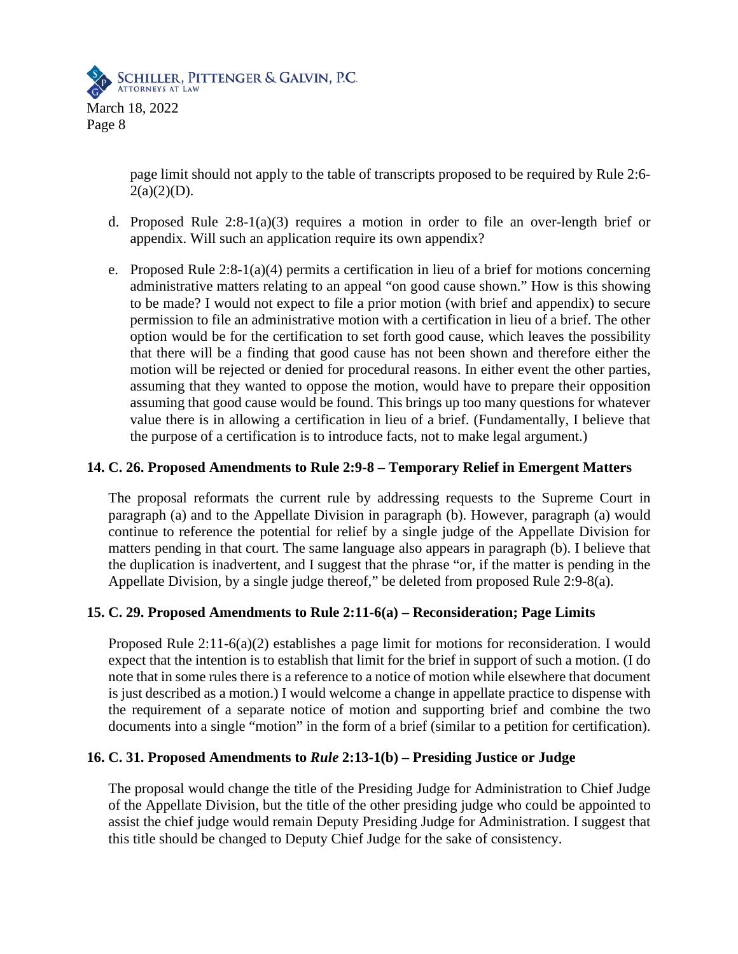

Page 8

page limit should not apply to the table of transcripts proposed to be required by Rule 2:6-  $2(a)(2)(D)$ .

- d. Proposed Rule  $2:8-1(a)(3)$  requires a motion in order to file an over-length brief or appendix. Will such an application require its own appendix?
- e. Proposed Rule  $2:8-1(a)(4)$  permits a certification in lieu of a brief for motions concerning administrative matters relating to an appeal "on good cause shown." How is this showing to be made? I would not expect to file a prior motion (with brief and appendix) to secure permission to file an administrative motion with a certification in lieu of a brief. The other option would be for the certification to set forth good cause, which leaves the possibility that there will be a finding that good cause has not been shown and therefore either the motion will be rejected or denied for procedural reasons. In either event the other parties, assuming that they wanted to oppose the motion, would have to prepare their opposition assuming that good cause would be found. This brings up too many questions for whatever value there is in allowing a certification in lieu of a brief. (Fundamentally, I believe that the purpose of a certification is to introduce facts, not to make legal argument.)

### **14. C. 26. Proposed Amendments to Rule 2:9-8 – Temporary Relief in Emergent Matters**

The proposal reformats the current rule by addressing requests to the Supreme Court in paragraph (a) and to the Appellate Division in paragraph (b). However, paragraph (a) would continue to reference the potential for relief by a single judge of the Appellate Division for matters pending in that court. The same language also appears in paragraph (b). I believe that the duplication is inadvertent, and I suggest that the phrase "or, if the matter is pending in the Appellate Division, by a single judge thereof," be deleted from proposed Rule 2:9-8(a).

### **15. C. 29. Proposed Amendments to Rule 2:11-6(a) – Reconsideration; Page Limits**

Proposed Rule 2:11-6(a)(2) establishes a page limit for motions for reconsideration. I would expect that the intention is to establish that limit for the brief in support of such a motion. (I do note that in some rules there is a reference to a notice of motion while elsewhere that document is just described as a motion.) I would welcome a change in appellate practice to dispense with the requirement of a separate notice of motion and supporting brief and combine the two documents into a single "motion" in the form of a brief (similar to a petition for certification).

### **16. C. 31. Proposed Amendments to** *Rule* **2:13-1(b) – Presiding Justice or Judge**

The proposal would change the title of the Presiding Judge for Administration to Chief Judge of the Appellate Division, but the title of the other presiding judge who could be appointed to assist the chief judge would remain Deputy Presiding Judge for Administration. I suggest that this title should be changed to Deputy Chief Judge for the sake of consistency.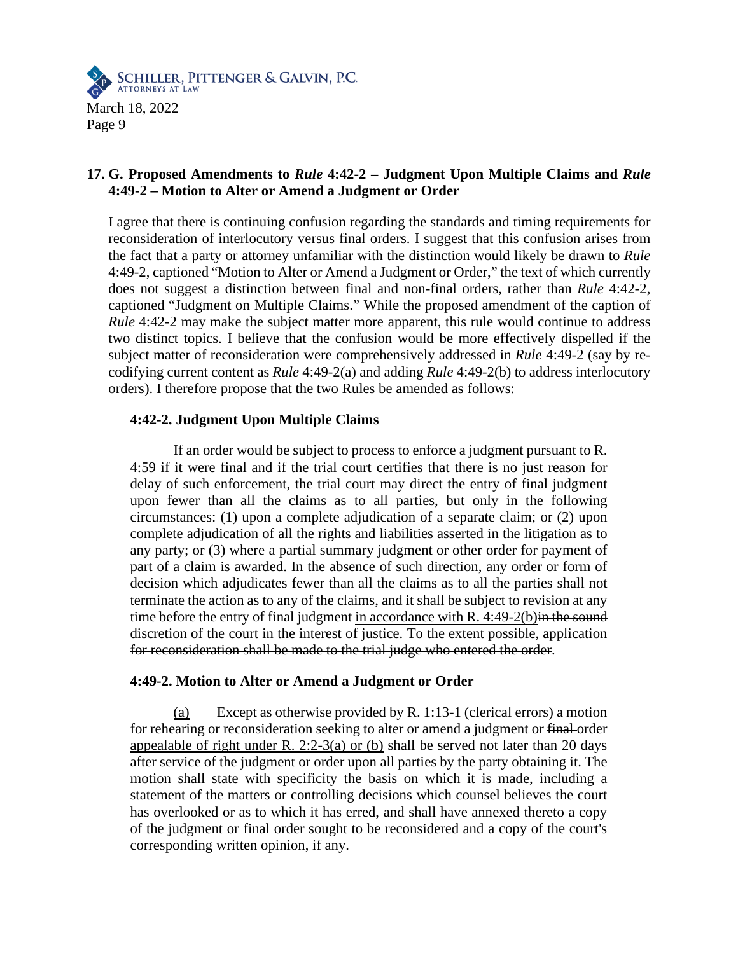

## **17. G. Proposed Amendments to** *Rule* **4:42-2 – Judgment Upon Multiple Claims and** *Rule* **4:49-2 – Motion to Alter or Amend a Judgment or Order**

I agree that there is continuing confusion regarding the standards and timing requirements for reconsideration of interlocutory versus final orders. I suggest that this confusion arises from the fact that a party or attorney unfamiliar with the distinction would likely be drawn to *Rule* 4:49-2, captioned "Motion to Alter or Amend a Judgment or Order," the text of which currently does not suggest a distinction between final and non-final orders, rather than *Rule* 4:42-2, captioned "Judgment on Multiple Claims." While the proposed amendment of the caption of *Rule* 4:42-2 may make the subject matter more apparent, this rule would continue to address two distinct topics. I believe that the confusion would be more effectively dispelled if the subject matter of reconsideration were comprehensively addressed in *Rule* 4:49-2 (say by recodifying current content as *Rule* 4:49-2(a) and adding *Rule* 4:49-2(b) to address interlocutory orders). I therefore propose that the two Rules be amended as follows:

### **4:42-2. Judgment Upon Multiple Claims**

If an order would be subject to process to enforce a judgment pursuant to R. 4:59 if it were final and if the trial court certifies that there is no just reason for delay of such enforcement, the trial court may direct the entry of final judgment upon fewer than all the claims as to all parties, but only in the following circumstances: (1) upon a complete adjudication of a separate claim; or (2) upon complete adjudication of all the rights and liabilities asserted in the litigation as to any party; or (3) where a partial summary judgment or other order for payment of part of a claim is awarded. In the absence of such direction, any order or form of decision which adjudicates fewer than all the claims as to all the parties shall not terminate the action as to any of the claims, and it shall be subject to revision at any time before the entry of final judgment in accordance with R.  $4:49-2(b)$  in the sound discretion of the court in the interest of justice. To the extent possible, application for reconsideration shall be made to the trial judge who entered the order.

### **4:49-2. Motion to Alter or Amend a Judgment or Order**

(a) Except as otherwise provided by R. 1:13-1 (clerical errors) a motion for rehearing or reconsideration seeking to alter or amend a judgment or final order appealable of right under R. 2:2-3(a) or (b) shall be served not later than 20 days after service of the judgment or order upon all parties by the party obtaining it. The motion shall state with specificity the basis on which it is made, including a statement of the matters or controlling decisions which counsel believes the court has overlooked or as to which it has erred, and shall have annexed thereto a copy of the judgment or final order sought to be reconsidered and a copy of the court's corresponding written opinion, if any.